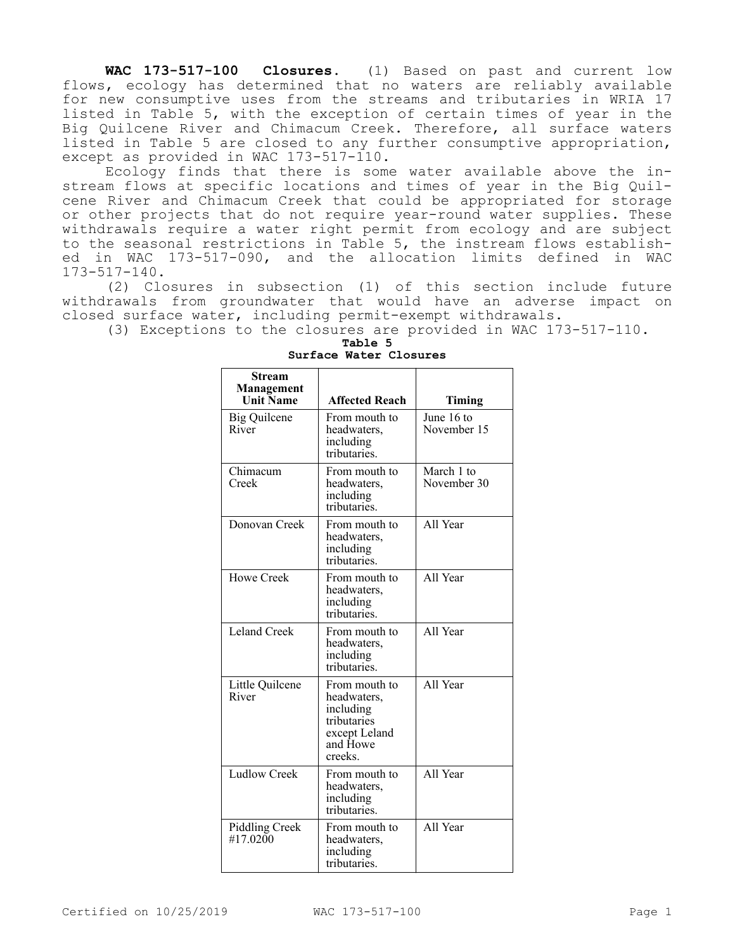**WAC 173-517-100 Closures.** (1) Based on past and current low flows, ecology has determined that no waters are reliably available for new consumptive uses from the streams and tributaries in WRIA 17 listed in Table 5, with the exception of certain times of year in the Big Quilcene River and Chimacum Creek. Therefore, all surface waters listed in Table 5 are closed to any further consumptive appropriation, except as provided in WAC 173-517-110.

Ecology finds that there is some water available above the instream flows at specific locations and times of year in the Big Quilcene River and Chimacum Creek that could be appropriated for storage or other projects that do not require year-round water supplies. These withdrawals require a water right permit from ecology and are subject to the seasonal restrictions in Table 5, the instream flows established in WAC 173-517-090, and the allocation limits defined in WAC 173-517-140.

(2) Closures in subsection (1) of this section include future withdrawals from groundwater that would have an adverse impact on closed surface water, including permit-exempt withdrawals.

(3) Exceptions to the closures are provided in WAC 173-517-110.

| <b>Stream</b><br>Management<br><b>Unit Name</b> | <b>Affected Reach</b>                                                                            | Timing                    |
|-------------------------------------------------|--------------------------------------------------------------------------------------------------|---------------------------|
| <b>Big Quilcene</b><br>River                    | From mouth to<br>headwaters,<br>including<br>tributaries.                                        | June 16 to<br>November 15 |
| Chimacum<br>Creek                               | From mouth to<br>headwaters,<br>including<br>tributaries.                                        | March 1 to<br>November 30 |
| Donovan Creek                                   | From mouth to<br>headwaters,<br>including<br>tributaries.                                        | All Year                  |
| Howe Creek                                      | From mouth to<br>headwaters,<br>including<br>tributaries.                                        | All Year                  |
| <b>Leland Creek</b>                             | From mouth to<br>headwaters,<br>including<br>tributaries.                                        | All Year                  |
| Little Quilcene<br>River                        | From mouth to<br>headwaters,<br>including<br>tributaries<br>except Leland<br>and Howe<br>creeks. | All Year                  |
| <b>Ludlow Creek</b>                             | From mouth to<br>headwaters,<br>including<br>tributaries.                                        | All Year                  |
| Piddling Creek<br>#17.0200                      | From mouth to<br>headwaters,<br>including<br>tributaries.                                        | All Year                  |

## **Table 5 Surface Water Closures**